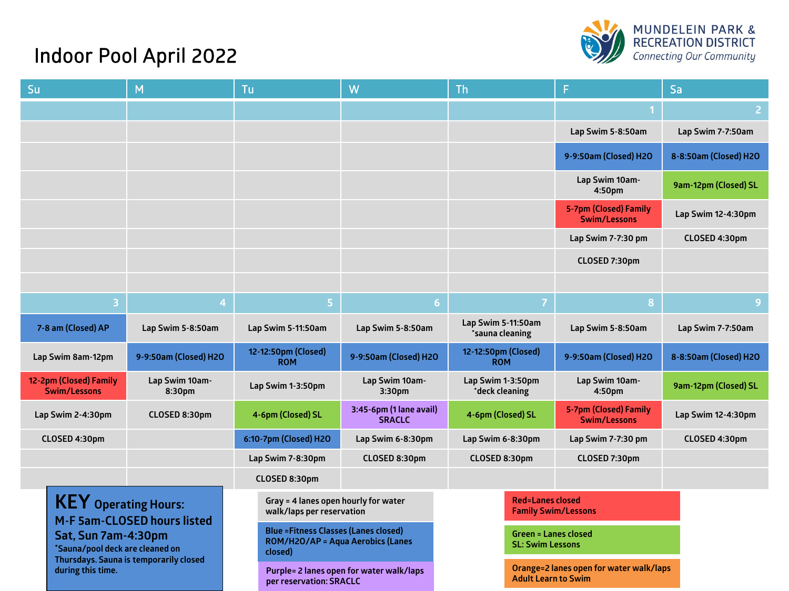

## Indoor Pool April 2022

| Su                                                                                                                                                                                         | M |                                                                                              | Tu                                |                                          | W                                        | Th                                                     |                                         |                                              | Sa                    |
|--------------------------------------------------------------------------------------------------------------------------------------------------------------------------------------------|---|----------------------------------------------------------------------------------------------|-----------------------------------|------------------------------------------|------------------------------------------|--------------------------------------------------------|-----------------------------------------|----------------------------------------------|-----------------------|
|                                                                                                                                                                                            |   |                                                                                              |                                   |                                          |                                          |                                                        |                                         |                                              | $\overline{2}$        |
|                                                                                                                                                                                            |   |                                                                                              |                                   |                                          |                                          |                                                        |                                         | Lap Swim 5-8:50am                            | Lap Swim 7-7:50am     |
|                                                                                                                                                                                            |   |                                                                                              |                                   |                                          |                                          |                                                        |                                         | 9-9:50am (Closed) H2O                        | 8-8:50am (Closed) H2O |
|                                                                                                                                                                                            |   |                                                                                              |                                   |                                          |                                          |                                                        |                                         | Lap Swim 10am-<br>4:50pm                     | 9am-12pm (Closed) SL  |
|                                                                                                                                                                                            |   |                                                                                              |                                   |                                          |                                          |                                                        |                                         | <b>5-7pm (Closed) Family</b><br>Swim/Lessons | Lap Swim 12-4:30pm    |
|                                                                                                                                                                                            |   |                                                                                              |                                   |                                          |                                          |                                                        |                                         | Lap Swim 7-7:30 pm                           | CLOSED 4:30pm         |
|                                                                                                                                                                                            |   |                                                                                              |                                   |                                          |                                          |                                                        |                                         | CLOSED 7:30pm                                |                       |
|                                                                                                                                                                                            |   |                                                                                              |                                   |                                          |                                          |                                                        |                                         |                                              |                       |
|                                                                                                                                                                                            | 3 | $\overline{a}$                                                                               |                                   | 5                                        | 6 <sup>1</sup>                           |                                                        | $\overline{7}$                          | 8                                            | $\overline{9}$        |
| 7-8 am (Closed) AP                                                                                                                                                                         |   | Lap Swim 5-8:50am                                                                            | Lap Swim 5-11:50am                |                                          | Lap Swim 5-8:50am                        |                                                        | Lap Swim 5-11:50am<br>*sauna cleaning   | Lap Swim 5-8:50am                            | Lap Swim 7-7:50am     |
| Lap Swim 8am-12pm                                                                                                                                                                          |   | 9-9:50am (Closed) H2O                                                                        | 12-12:50pm (Closed)<br><b>ROM</b> |                                          | 9-9:50am (Closed) H2O                    | 12-12:50pm (Closed)<br><b>ROM</b>                      |                                         | 9-9:50am (Closed) H2O                        | 8-8:50am (Closed) H2O |
| 12-2pm (Closed) Family<br><b>Swim/Lessons</b>                                                                                                                                              |   | Lap Swim 10am-<br>8:30pm                                                                     | Lap Swim 1-3:50pm                 |                                          | Lap Swim 10am-<br>3:30pm                 |                                                        | Lap Swim 1-3:50pm<br>*deck cleaning     | Lap Swim 10am-<br>4:50pm                     | 9am-12pm (Closed) SL  |
| Lap Swim 2-4:30pm                                                                                                                                                                          |   | CLOSED 8:30pm                                                                                | 4-6pm (Closed) SL                 |                                          | 3:45-6pm (1 lane avail)<br><b>SRACLC</b> | 4-6pm (Closed) SL                                      |                                         | 5-7pm (Closed) Family<br><b>Swim/Lessons</b> | Lap Swim 12-4:30pm    |
| CLOSED 4:30pm                                                                                                                                                                              |   |                                                                                              | 6:10-7pm (Closed) H2O             |                                          | Lap Swim 6-8:30pm                        |                                                        | Lap Swim 6-8:30pm                       | Lap Swim 7-7:30 pm                           | CLOSED 4:30pm         |
|                                                                                                                                                                                            |   |                                                                                              | Lap Swim 7-8:30pm                 |                                          | CLOSED 8:30pm                            |                                                        | CLOSED 8:30pm                           | CLOSED 7:30pm                                |                       |
|                                                                                                                                                                                            |   |                                                                                              |                                   | CLOSED 8:30pm                            |                                          |                                                        |                                         |                                              |                       |
| <b>KEY</b> Operating Hours:<br><b>M-F 5am-CLOSED hours listed</b><br>Sat, Sun 7am-4:30pm<br>*Sauna/pool deck are cleaned on<br>Thursdays. Sauna is temporarily closed<br>during this time. |   |                                                                                              | walk/laps per reservation         | Gray = 4 lanes open hourly for water     |                                          | <b>Red=Lanes closed</b>                                | <b>Family Swim/Lessons</b>              |                                              |                       |
|                                                                                                                                                                                            |   | <b>Blue = Fitness Classes (Lanes closed)</b><br>ROM/H2O/AP = Aqua Aerobics (Lanes<br>closed) |                                   |                                          |                                          | <b>Green = Lanes closed</b><br><b>SL: Swim Lessons</b> |                                         |                                              |                       |
|                                                                                                                                                                                            |   |                                                                                              | per reservation: SRACLC           | Purple= 2 lanes open for water walk/laps | <b>Adult Learn to Swim</b>               |                                                        | Orange=2 lanes open for water walk/laps |                                              |                       |